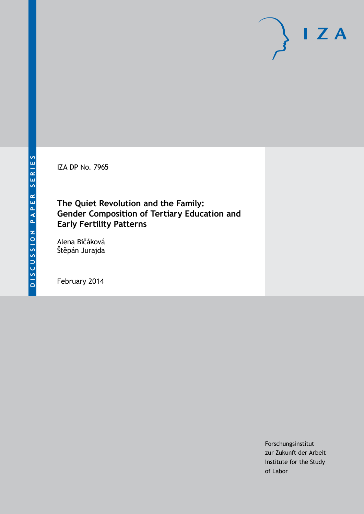IZA DP No. 7965

### **The Quiet Revolution and the Family: Gender Composition of Tertiary Education and Early Fertility Patterns**

Alena Bičáková Štěpán Jurajda

February 2014

Forschungsinstitut zur Zukunft der Arbeit Institute for the Study of Labor

 $I Z A$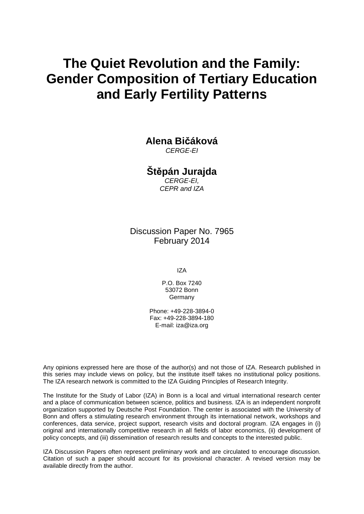# **The Quiet Revolution and the Family: Gender Composition of Tertiary Education and Early Fertility Patterns**

**Alena Bičáková** *CERGE-EI*

**Štěpán Jurajda** *CERGE-EI,*

*CEPR and IZA*

Discussion Paper No. 7965 February 2014

IZA

P.O. Box 7240 53072 Bonn **Germany** 

Phone: +49-228-3894-0 Fax: +49-228-3894-180 E-mail: [iza@iza.org](mailto:iza@iza.org)

Any opinions expressed here are those of the author(s) and not those of IZA. Research published in this series may include views on policy, but the institute itself takes no institutional policy positions. The IZA research network is committed to the IZA Guiding Principles of Research Integrity.

The Institute for the Study of Labor (IZA) in Bonn is a local and virtual international research center and a place of communication between science, politics and business. IZA is an independent nonprofit organization supported by Deutsche Post Foundation. The center is associated with the University of Bonn and offers a stimulating research environment through its international network, workshops and conferences, data service, project support, research visits and doctoral program. IZA engages in (i) original and internationally competitive research in all fields of labor economics, (ii) development of policy concepts, and (iii) dissemination of research results and concepts to the interested public.

<span id="page-1-0"></span>IZA Discussion Papers often represent preliminary work and are circulated to encourage discussion. Citation of such a paper should account for its provisional character. A revised version may be available directly from the author.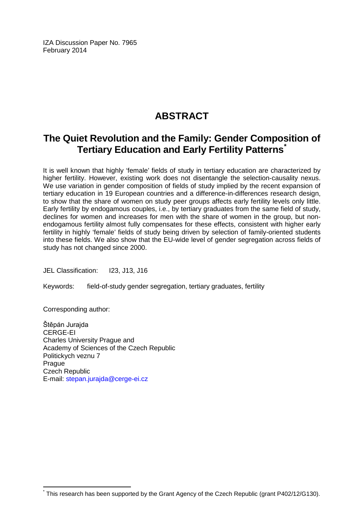IZA Discussion Paper No. 7965 February 2014

# **ABSTRACT**

## **The Quiet Revolution and the Family: Gender Composition of Tertiary Education and Early Fertility Patterns[\\*](#page-1-0)**

It is well known that highly 'female' fields of study in tertiary education are characterized by higher fertility. However, existing work does not disentangle the selection-causality nexus. We use variation in gender composition of fields of study implied by the recent expansion of tertiary education in 19 European countries and a difference-in-differences research design, to show that the share of women on study peer groups affects early fertility levels only little. Early fertility by endogamous couples, i.e., by tertiary graduates from the same field of study, declines for women and increases for men with the share of women in the group, but nonendogamous fertility almost fully compensates for these effects, consistent with higher early fertility in highly 'female' fields of study being driven by selection of family-oriented students into these fields. We also show that the EU-wide level of gender segregation across fields of study has not changed since 2000.

JEL Classification: I23, J13, J16

Keywords: field-of-study gender segregation, tertiary graduates, fertility

Corresponding author:

Štěpán Jurajda CERGE-EI Charles University Prague and Academy of Sciences of the Czech Republic Politickych veznu 7 Prague Czech Republic E-mail: [stepan.jurajda@cerge-ei.cz](mailto:stepan.jurajda@cerge-ei.cz)

This research has been supported by the Grant Agency of the Czech Republic (grant P402/12/G130).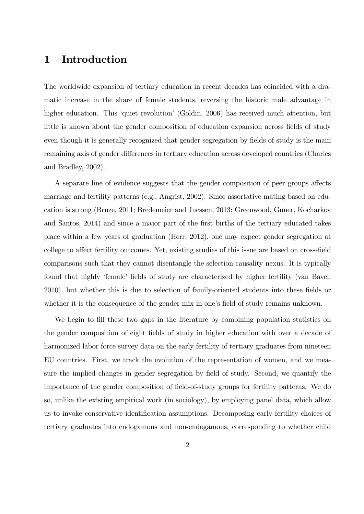### 1 Introduction

The worldwide expansion of tertiary education in recent decades has coincided with a dramatic increase in the share of female students, reversing the historic male advantage in higher education. This 'quiet revolution' (Goldin, 2006) has received much attention, but little is known about the gender composition of education expansion across fields of study even though it is generally recognized that gender segregation by fields of study is the main remaining axis of gender differences in tertiary education across developed countries (Charles and Bradley, 2002).

A separate line of evidence suggests that the gender composition of peer groups affects marriage and fertility patterns (e.g., Angrist, 2002). Since assortative mating based on education is strong (Bruze, 2011; Bredemeier and Juessen, 2013; Greenwood, Guner, Kocharkov and Santos, 2014) and since a major part of the first births of the tertiary educated takes place within a few years of graduation (Herr, 2012), one may expect gender segregation at college to affect fertility outcomes. Yet, existing studies of this issue are based on cross-field comparisons such that they cannot disentangle the selection-causality nexus. It is typically found that highly 'female' fields of study are characterized by higher fertility (van Bavel, 2010), but whether this is due to selection of family-oriented students into these fields or whether it is the consequence of the gender mix in one's field of study remains unknown.

We begin to fill these two gaps in the literature by combining population statistics on the gender composition of eight fields of study in higher education with over a decade of harmonized labor force survey data on the early fertility of tertiary graduates from nineteen EU countries. First, we track the evolution of the representation of women, and we measure the implied changes in gender segregation by field of study. Second, we quantify the importance of the gender composition of Öeld-of-study groups for fertility patterns. We do so, unlike the existing empirical work (in sociology), by employing panel data, which allow us to invoke conservative identification assumptions. Decomposing early fertility choices of tertiary graduates into endogamous and non-endogamous, corresponding to whether child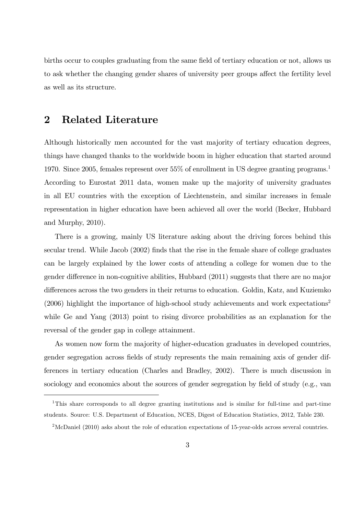births occur to couples graduating from the same field of tertiary education or not, allows us to ask whether the changing gender shares of university peer groups affect the fertility level as well as its structure.

#### 2 Related Literature

Although historically men accounted for the vast majority of tertiary education degrees, things have changed thanks to the worldwide boom in higher education that started around 1970. Since 2005, females represent over 55% of enrollment in US degree granting programs.<sup>1</sup> According to Eurostat 2011 data, women make up the majority of university graduates in all EU countries with the exception of Liechtenstein, and similar increases in female representation in higher education have been achieved all over the world (Becker, Hubbard and Murphy, 2010).

There is a growing, mainly US literature asking about the driving forces behind this secular trend. While Jacob (2002) finds that the rise in the female share of college graduates can be largely explained by the lower costs of attending a college for women due to the gender difference in non-cognitive abilities, Hubbard (2011) suggests that there are no major differences across the two genders in their returns to education. Goldin, Katz, and Kuziemko  $(2006)$  highlight the importance of high-school study achievements and work expectations<sup>2</sup> while Ge and Yang  $(2013)$  point to rising divorce probabilities as an explanation for the reversal of the gender gap in college attainment.

As women now form the majority of higher-education graduates in developed countries, gender segregation across fields of study represents the main remaining axis of gender differences in tertiary education (Charles and Bradley, 2002). There is much discussion in sociology and economics about the sources of gender segregation by field of study (e.g., van

<sup>&</sup>lt;sup>1</sup>This share corresponds to all degree granting institutions and is similar for full-time and part-time students. Source: U.S. Department of Education, NCES, Digest of Education Statistics, 2012, Table 230.

 $2^2$ McDaniel (2010) asks about the role of education expectations of 15-year-olds across several countries.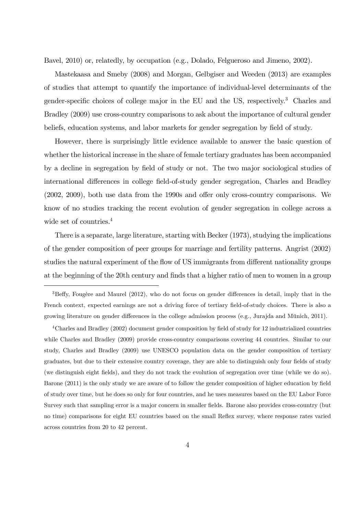Bavel, 2010) or, relatedly, by occupation (e.g., Dolado, Felgueroso and Jimeno, 2002).

Mastekaasa and Smeby (2008) and Morgan, Gelbgiser and Weeden (2013) are examples of studies that attempt to quantify the importance of individual-level determinants of the gender-specific choices of college major in the EU and the US, respectively.<sup>3</sup> Charles and Bradley (2009) use cross-country comparisons to ask about the importance of cultural gender beliefs, education systems, and labor markets for gender segregation by field of study.

However, there is surprisingly little evidence available to answer the basic question of whether the historical increase in the share of female tertiary graduates has been accompanied by a decline in segregation by field of study or not. The two major sociological studies of international differences in college field-of-study gender segregation, Charles and Bradley  $(2002, 2009)$ , both use data from the 1990s and offer only cross-country comparisons. We know of no studies tracking the recent evolution of gender segregation in college across a wide set of countries.<sup>4</sup>

There is a separate, large literature, starting with Becker (1973), studying the implications of the gender composition of peer groups for marriage and fertility patterns. Angrist (2002) studies the natural experiment of the flow of US immigrants from different nationality groups at the beginning of the 20th century and finds that a higher ratio of men to women in a group

 $4$ Charles and Bradley (2002) document gender composition by field of study for 12 industrialized countries while Charles and Bradley (2009) provide cross-country comparisons covering 44 countries. Similar to our study, Charles and Bradley (2009) use UNESCO population data on the gender composition of tertiary graduates, but due to their extensive country coverage, they are able to distinguish only four fields of study (we distinguish eight Öelds), and they do not track the evolution of segregation over time (while we do so). Barone (2011) is the only study we are aware of to follow the gender composition of higher education by field of study over time, but he does so only for four countries, and he uses measures based on the EU Labor Force Survey such that sampling error is a major concern in smaller fields. Barone also provides cross-country (but no time) comparisons for eight EU countries based on the small Reflex survey, where response rates varied across countries from 20 to 42 percent.

 $3B$ effy, Fougère and Maurel (2012), who do not focus on gender differences in detail, imply that in the French context, expected earnings are not a driving force of tertiary field-of-study choices. There is also a growing literature on gender differences in the college admission process (e.g., Jurajda and Münich, 2011).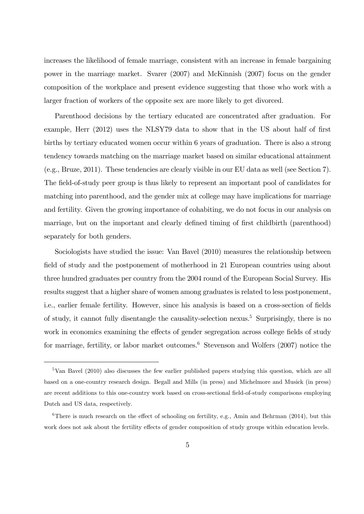increases the likelihood of female marriage, consistent with an increase in female bargaining power in the marriage market. Svarer (2007) and McKinnish (2007) focus on the gender composition of the workplace and present evidence suggesting that those who work with a larger fraction of workers of the opposite sex are more likely to get divorced.

Parenthood decisions by the tertiary educated are concentrated after graduation. For example, Herr (2012) uses the NLSY79 data to show that in the US about half of first births by tertiary educated women occur within 6 years of graduation. There is also a strong tendency towards matching on the marriage market based on similar educational attainment (e.g., Bruze, 2011). These tendencies are clearly visible in our EU data as well (see Section 7). The field-of-study peer group is thus likely to represent an important pool of candidates for matching into parenthood, and the gender mix at college may have implications for marriage and fertility. Given the growing importance of cohabiting, we do not focus in our analysis on marriage, but on the important and clearly defined timing of first childbirth (parenthood) separately for both genders.

Sociologists have studied the issue: Van Bavel (2010) measures the relationship between field of study and the postponement of motherhood in 21 European countries using about three hundred graduates per country from the 2004 round of the European Social Survey. His results suggest that a higher share of women among graduates is related to less postponement, i.e., earlier female fertility. However, since his analysis is based on a cross-section of fields of study, it cannot fully disentangle the causality-selection nexus.<sup>5</sup> Surprisingly, there is no work in economics examining the effects of gender segregation across college fields of study for marriage, fertility, or labor market outcomes.<sup>6</sup> Stevenson and Wolfers  $(2007)$  notice the

<sup>5</sup>Van Bavel (2010) also discusses the few earlier published papers studying this question, which are all based on a one-country research design. Begall and Mills (in press) and Michelmore and Musick (in press) are recent additions to this one-country work based on cross-sectional field-of-study comparisons employing Dutch and US data, respectively.

 $6$ There is much research on the effect of schooling on fertility, e.g., Amin and Behrman (2014), but this work does not ask about the fertility effects of gender composition of study groups within education levels.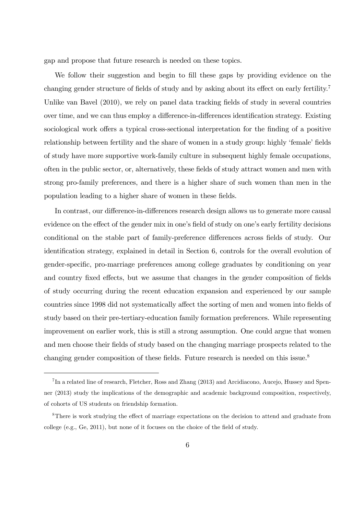gap and propose that future research is needed on these topics.

We follow their suggestion and begin to fill these gaps by providing evidence on the changing gender structure of fields of study and by asking about its effect on early fertility.<sup>7</sup> Unlike van Bavel (2010), we rely on panel data tracking fields of study in several countries over time, and we can thus employ a difference-in-differences identification strategy. Existing sociological work offers a typical cross-sectional interpretation for the finding of a positive relationship between fertility and the share of women in a study group: highly 'female' fields of study have more supportive work-family culture in subsequent highly female occupations, often in the public sector, or, alternatively, these Öelds of study attract women and men with strong pro-family preferences, and there is a higher share of such women than men in the population leading to a higher share of women in these fields.

In contrast, our difference-in-differences research design allows us to generate more causal evidence on the effect of the gender mix in one's field of study on one's early fertility decisions conditional on the stable part of family-preference differences across fields of study. Our identification strategy, explained in detail in Section 6, controls for the overall evolution of gender-specific, pro-marriage preferences among college graduates by conditioning on year and country fixed effects, but we assume that changes in the gender composition of fields of study occurring during the recent education expansion and experienced by our sample countries since 1998 did not systematically affect the sorting of men and women into fields of study based on their pre-tertiary-education family formation preferences. While representing improvement on earlier work, this is still a strong assumption. One could argue that women and men choose their fields of study based on the changing marriage prospects related to the changing gender composition of these fields. Future research is needed on this issue.<sup>8</sup>

<sup>&</sup>lt;sup>7</sup>In a related line of research, Fletcher, Ross and Zhang (2013) and Arcidiacono, Aucejo, Hussey and Spenner (2013) study the implications of the demographic and academic background composition, respectively, of cohorts of US students on friendship formation.

 $8$ There is work studying the effect of marriage expectations on the decision to attend and graduate from college (e.g., Ge, 2011), but none of it focuses on the choice of the field of study.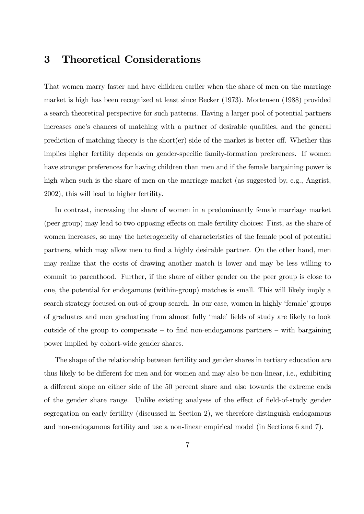#### 3 Theoretical Considerations

That women marry faster and have children earlier when the share of men on the marriage market is high has been recognized at least since Becker (1973). Mortensen (1988) provided a search theoretical perspective for such patterns. Having a larger pool of potential partners increases one's chances of matching with a partner of desirable qualities, and the general prediction of matching theory is the short $(er)$  side of the market is better off. Whether this implies higher fertility depends on gender-specific family-formation preferences. If women have stronger preferences for having children than men and if the female bargaining power is high when such is the share of men on the marriage market (as suggested by, e.g., Angrist, 2002), this will lead to higher fertility.

In contrast, increasing the share of women in a predominantly female marriage market (peer group) may lead to two opposing effects on male fertility choices: First, as the share of women increases, so may the heterogeneity of characteristics of the female pool of potential partners, which may allow men to find a highly desirable partner. On the other hand, men may realize that the costs of drawing another match is lower and may be less willing to commit to parenthood. Further, if the share of either gender on the peer group is close to one, the potential for endogamous (within-group) matches is small. This will likely imply a search strategy focused on out-of-group search. In our case, women in highly 'female' groups of graduates and men graduating from almost fully 'male' fields of study are likely to look outside of the group to compensate  $-$  to find non-endogamous partners  $-$  with bargaining power implied by cohort-wide gender shares.

The shape of the relationship between fertility and gender shares in tertiary education are thus likely to be different for men and for women and may also be non-linear, i.e., exhibiting a different slope on either side of the 50 percent share and also towards the extreme ends of the gender share range. Unlike existing analyses of the effect of field-of-study gender segregation on early fertility (discussed in Section 2), we therefore distinguish endogamous and non-endogamous fertility and use a non-linear empirical model (in Sections 6 and 7).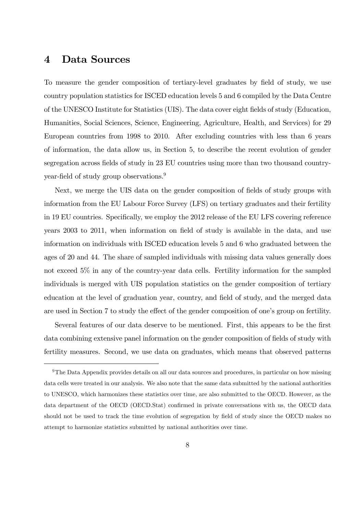#### 4 Data Sources

To measure the gender composition of tertiary-level graduates by Öeld of study, we use country population statistics for ISCED education levels 5 and 6 compiled by the Data Centre of the UNESCO Institute for Statistics (UIS). The data cover eight Öelds of study (Education, Humanities, Social Sciences, Science, Engineering, Agriculture, Health, and Services) for 29 European countries from 1998 to 2010. After excluding countries with less than 6 years of information, the data allow us, in Section 5, to describe the recent evolution of gender segregation across fields of study in 23 EU countries using more than two thousand countryyear-field of study group observations.<sup>9</sup>

Next, we merge the UIS data on the gender composition of fields of study groups with information from the EU Labour Force Survey (LFS) on tertiary graduates and their fertility in 19 EU countries. Specifically, we employ the 2012 release of the EU LFS covering reference years 2003 to 2011, when information on field of study is available in the data, and use information on individuals with ISCED education levels 5 and 6 who graduated between the ages of 20 and 44. The share of sampled individuals with missing data values generally does not exceed 5% in any of the country-year data cells. Fertility information for the sampled individuals is merged with UIS population statistics on the gender composition of tertiary education at the level of graduation year, country, and field of study, and the merged data are used in Section 7 to study the effect of the gender composition of one's group on fertility.

Several features of our data deserve to be mentioned. First, this appears to be the first data combining extensive panel information on the gender composition of fields of study with fertility measures. Second, we use data on graduates, which means that observed patterns

<sup>&</sup>lt;sup>9</sup>The Data Appendix provides details on all our data sources and procedures, in particular on how missing data cells were treated in our analysis. We also note that the same data submitted by the national authorities to UNESCO, which harmonizes these statistics over time, are also submitted to the OECD. However, as the data department of the OECD (OECD.Stat) confirmed in private conversations with us, the OECD data should not be used to track the time evolution of segregation by field of study since the OECD makes no attempt to harmonize statistics submitted by national authorities over time.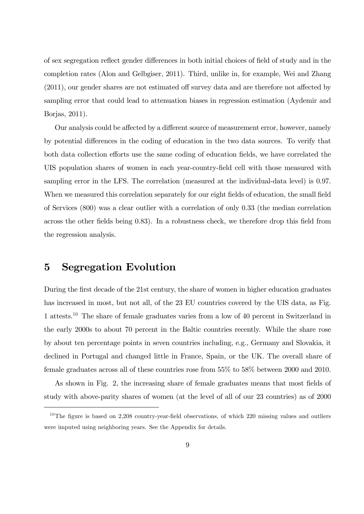of sex segregation reflect gender differences in both initial choices of field of study and in the completion rates (Alon and Gelbgiser, 2011). Third, unlike in, for example, Wei and Zhang  $(2011)$ , our gender shares are not estimated off survey data and are therefore not affected by sampling error that could lead to attenuation biases in regression estimation (Aydemir and Borjas, 2011).

Our analysis could be affected by a different source of measurement error, however, namely by potential differences in the coding of education in the two data sources. To verify that both data collection efforts use the same coding of education fields, we have correlated the UIS population shares of women in each year-country-field cell with those measured with sampling error in the LFS. The correlation (measured at the individual-data level) is 0.97. When we measured this correlation separately for our eight fields of education, the small field of Services (800) was a clear outlier with a correlation of only 0.33 (the median correlation across the other fields being 0.83). In a robustness check, we therefore drop this field from the regression analysis.

#### 5 Segregation Evolution

During the first decade of the 21st century, the share of women in higher education graduates has increased in most, but not all, of the 23 EU countries covered by the UIS data, as Fig. 1 attests.<sup>10</sup> The share of female graduates varies from a low of 40 percent in Switzerland in the early 2000s to about 70 percent in the Baltic countries recently. While the share rose by about ten percentage points in seven countries including, e.g., Germany and Slovakia, it declined in Portugal and changed little in France, Spain, or the UK. The overall share of female graduates across all of these countries rose from 55% to 58% between 2000 and 2010.

As shown in Fig. 2, the increasing share of female graduates means that most fields of study with above-parity shares of women (at the level of all of our 23 countries) as of 2000

 $10$ The figure is based on 2,208 country-year-field observations, of which 220 missing values and outliers were imputed using neighboring years. See the Appendix for details.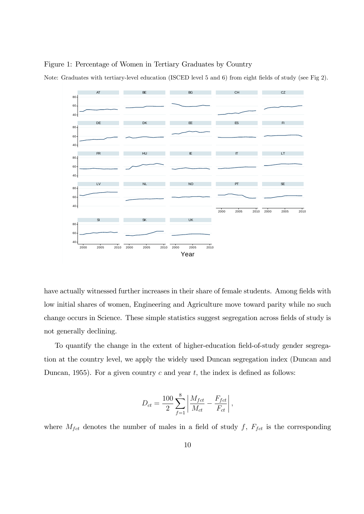Figure 1: Percentage of Women in Tertiary Graduates by Country

 $40 -$ 60  $80<sup>1</sup>$  $40<sup>°</sup>$ 60 80  $40 -$ 60 80  $40<sup>1</sup>$ 60 80  $40$  $60$ 80 2000 2005 2010 2000 2005 2010 2000 2005 2010 2000 2005 2010 2000 2005 2010 AT BE BE BG CH CH CZ DE DK EE ES FI FR HU IE IT LT LV NL NO PT SE SI SK UK Year

Note: Graduates with tertiary-level education (ISCED level 5 and 6) from eight fields of study (see Fig 2).

have actually witnessed further increases in their share of female students. Among fields with low initial shares of women, Engineering and Agriculture move toward parity while no such change occurs in Science. These simple statistics suggest segregation across fields of study is not generally declining.

To quantify the change in the extent of higher-education field-of-study gender segregation at the country level, we apply the widely used Duncan segregation index (Duncan and Duncan, 1955). For a given country c and year t, the index is defined as follows:

$$
D_{ct} = \frac{100}{2} \sum_{f=1}^{8} \left| \frac{M_{fct}}{M_{ct}} - \frac{F_{fct}}{F_{ct}} \right|,
$$

where  $M_{fct}$  denotes the number of males in a field of study f,  $F_{fct}$  is the corresponding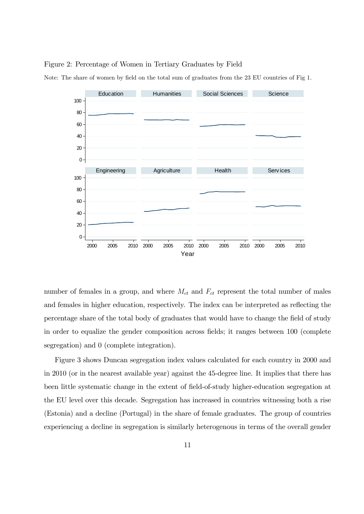#### Figure 2: Percentage of Women in Tertiary Graduates by Field



Note: The share of women by field on the total sum of graduates from the 23 EU countries of Fig 1.

number of females in a group, and where  $M_{ct}$  and  $F_{ct}$  represent the total number of males and females in higher education, respectively. The index can be interpreted as reflecting the percentage share of the total body of graduates that would have to change the Öeld of study in order to equalize the gender composition across fields; it ranges between 100 (complete segregation) and 0 (complete integration).

Figure 3 shows Duncan segregation index values calculated for each country in 2000 and in 2010 (or in the nearest available year) against the 45-degree line. It implies that there has been little systematic change in the extent of field-of-study higher-education segregation at the EU level over this decade. Segregation has increased in countries witnessing both a rise (Estonia) and a decline (Portugal) in the share of female graduates. The group of countries experiencing a decline in segregation is similarly heterogenous in terms of the overall gender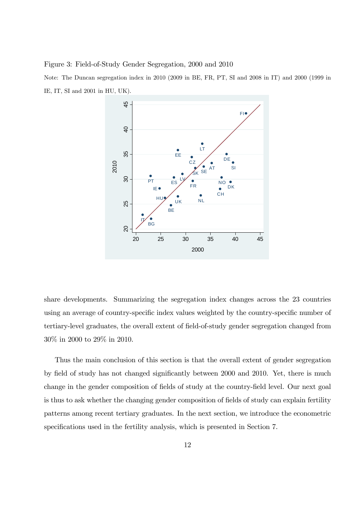Figure 3: Field-of-Study Gender Segregation, 2000 and 2010

Note: The Duncan segregation index in 2010 (2009 in BE, FR, PT, SI and 2008 in IT) and 2000 (1999 in IE, IT, SI and 2001 in HU, UK).



share developments. Summarizing the segregation index changes across the 23 countries using an average of country-specific index values weighted by the country-specific number of tertiary-level graduates, the overall extent of field-of-study gender segregation changed from 30% in 2000 to 29% in 2010.

Thus the main conclusion of this section is that the overall extent of gender segregation by field of study has not changed significantly between 2000 and 2010. Yet, there is much change in the gender composition of fields of study at the country-field level. Our next goal is thus to ask whether the changing gender composition of fields of study can explain fertility patterns among recent tertiary graduates. In the next section, we introduce the econometric specifications used in the fertility analysis, which is presented in Section 7.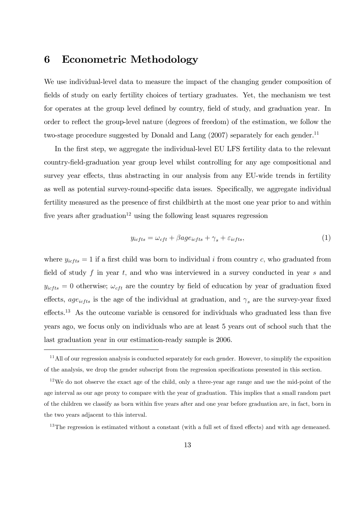### 6 Econometric Methodology

We use individual-level data to measure the impact of the changing gender composition of fields of study on early fertility choices of tertiary graduates. Yet, the mechanism we test for operates at the group level defined by country, field of study, and graduation year. In order to reflect the group-level nature (degrees of freedom) of the estimation, we follow the two-stage procedure suggested by Donald and Lang (2007) separately for each gender.<sup>11</sup>

In the first step, we aggregate the individual-level EU LFS fertility data to the relevant country-Öeld-graduation year group level whilst controlling for any age compositional and survey year effects, thus abstracting in our analysis from any EU-wide trends in fertility as well as potential survey-round-specific data issues. Specifically, we aggregate individual fertility measured as the presence of first childbirth at the most one year prior to and within five years after graduation<sup>12</sup> using the following least squares regression

$$
y_{icfts} = \omega_{cft} + \beta age_{icfts} + \gamma_s + \varepsilon_{icfts},\tag{1}
$$

where  $y_{icfts} = 1$  if a first child was born to individual i from country c, who graduated from field of study f in year t, and who was interviewed in a survey conducted in year s and  $y_{ictts} = 0$  otherwise;  $\omega_{cft}$  are the country by field of education by year of graduation fixed effects, age<sub>icfts</sub> is the age of the individual at graduation, and  $\gamma_s$  are the survey-year fixed effects.<sup>13</sup> As the outcome variable is censored for individuals who graduated less than five years ago, we focus only on individuals who are at least 5 years out of school such that the last graduation year in our estimation-ready sample is 2006.

<sup>&</sup>lt;sup>11</sup>All of our regression analysis is conducted separately for each gender. However, to simplify the exposition of the analysis, we drop the gender subscript from the regression specifications presented in this section.

 $12$ We do not observe the exact age of the child, only a three-year age range and use the mid-point of the age interval as our age proxy to compare with the year of graduation. This implies that a small random part of the children we classify as born within Öve years after and one year before graduation are, in fact, born in the two years adjacent to this interval.

 $13$ The regression is estimated without a constant (with a full set of fixed effects) and with age demeaned.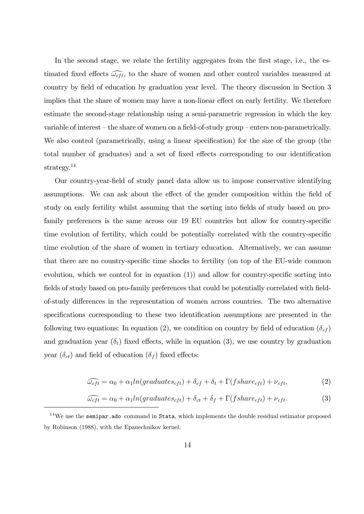In the second stage, we relate the fertility aggregates from the first stage, i.e., the estimated fixed effects  $\widehat{\omega_{cft}}$ , to the share of women and other control variables measured at country by field of education by graduation year level. The theory discussion in Section 3 implies that the share of women may have a non-linear effect on early fertility. We therefore estimate the second-stage relationship using a semi-parametric regression in which the key variable of interest – the share of women on a field-of-study group – enters non-parametrically. We also control (parametrically, using a linear specification) for the size of the group (the total number of graduates) and a set of fixed effects corresponding to our identification strategy.<sup>14</sup>

Our country-year-Öeld of study panel data allow us to impose conservative identifying assumptions. We can ask about the effect of the gender composition within the field of study on early fertility whilst assuming that the sorting into fields of study based on profamily preferences is the same across our 19 EU countries but allow for country-specific time evolution of fertility, which could be potentially correlated with the country-specific time evolution of the share of women in tertiary education. Alternatively, we can assume that there are no country-specific time shocks to fertility (on top of the EU-wide common evolution, which we control for in equation  $(1)$  and allow for country-specific sorting into fields of study based on pro-family preferences that could be potentially correlated with fieldof-study differences in the representation of women across countries. The two alternative specifications corresponding to these two identification assumptions are presented in the following two equations: In equation (2), we condition on country by field of education ( $\delta_{cf}$ ) and graduation year  $(\delta_t)$  fixed effects, while in equation (3), we use country by graduation year  $(\delta_{ct})$  and field of education  $(\delta_f)$  fixed effects:

$$
\widehat{\omega_{cft}} = \alpha_0 + \alpha_1 ln(graduates_{cft}) + \delta_{cf} + \delta_t + \Gamma(fshare_{cft}) + \nu_{cft},\tag{2}
$$

$$
\widehat{\omega_{cft}} = \alpha_0 + \alpha_1 ln(graduates_{cft}) + \delta_{ct} + \delta_f + \Gamma(fshare_{cft}) + \nu_{cft}.
$$
\n(3)

<sup>&</sup>lt;sup>14</sup>We use the **semipar.ado** command in Stata, which implements the double residual estimator proposed by Robinson (1988), with the Epanechnikov kernel.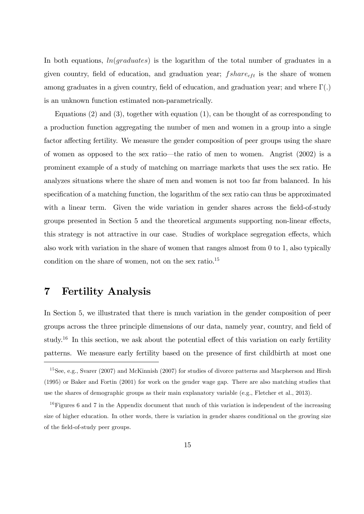In both equations,  $ln(qr_0/dt)$  is the logarithm of the total number of graduates in a given country, field of education, and graduation year;  $fshare_{cft}$  is the share of women among graduates in a given country, field of education, and graduation year; and where  $\Gamma(.)$ is an unknown function estimated non-parametrically.

Equations  $(2)$  and  $(3)$ , together with equation  $(1)$ , can be thought of as corresponding to a production function aggregating the number of men and women in a group into a single factor affecting fertility. We measure the gender composition of peer groups using the share of women as opposed to the sex ratio—the ratio of men to women. Angrist  $(2002)$  is a prominent example of a study of matching on marriage markets that uses the sex ratio. He analyzes situations where the share of men and women is not too far from balanced. In his specification of a matching function, the logarithm of the sex ratio can thus be approximated with a linear term. Given the wide variation in gender shares across the field-of-study groups presented in Section 5 and the theoretical arguments supporting non-linear effects, this strategy is not attractive in our case. Studies of workplace segregation effects, which also work with variation in the share of women that ranges almost from 0 to 1, also typically condition on the share of women, not on the sex ratio.<sup>15</sup>

#### 7 Fertility Analysis

In Section 5, we illustrated that there is much variation in the gender composition of peer groups across the three principle dimensions of our data, namely year, country, and field of study.<sup>16</sup> In this section, we ask about the potential effect of this variation on early fertility patterns. We measure early fertility based on the presence of first childbirth at most one

<sup>&</sup>lt;sup>15</sup>See, e.g., Svarer (2007) and McKinnish (2007) for studies of divorce patterns and Macpherson and Hirsh (1995) or Baker and Fortin (2001) for work on the gender wage gap. There are also matching studies that use the shares of demographic groups as their main explanatory variable (e.g., Fletcher et al., 2013).

<sup>&</sup>lt;sup>16</sup> Figures 6 and 7 in the Appendix document that much of this variation is independent of the increasing size of higher education. In other words, there is variation in gender shares conditional on the growing size of the field-of-study peer groups.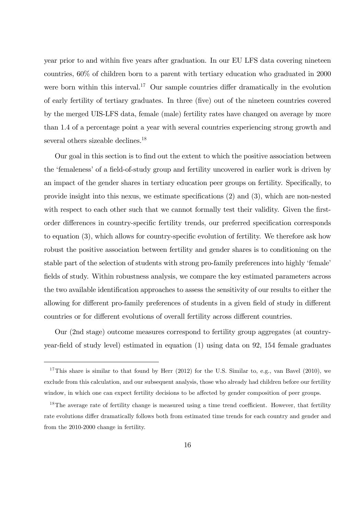year prior to and within Öve years after graduation. In our EU LFS data covering nineteen countries, 60% of children born to a parent with tertiary education who graduated in 2000 were born within this interval.<sup>17</sup> Our sample countries differ dramatically in the evolution of early fertility of tertiary graduates. In three (Öve) out of the nineteen countries covered by the merged UIS-LFS data, female (male) fertility rates have changed on average by more than 1.4 of a percentage point a year with several countries experiencing strong growth and several others sizeable declines.<sup>18</sup>

Our goal in this section is to Önd out the extent to which the positive association between the 'femaleness' of a field-of-study group and fertility uncovered in earlier work is driven by an impact of the gender shares in tertiary education peer groups on fertility. Specifically, to provide insight into this nexus, we estimate specifications  $(2)$  and  $(3)$ , which are non-nested with respect to each other such that we cannot formally test their validity. Given the firstorder differences in country-specific fertility trends, our preferred specification corresponds to equation  $(3)$ , which allows for country-specific evolution of fertility. We therefore ask how robust the positive association between fertility and gender shares is to conditioning on the stable part of the selection of students with strong pro-family preferences into highly 'female' fields of study. Within robustness analysis, we compare the key estimated parameters across the two available identification approaches to assess the sensitivity of our results to either the allowing for different pro-family preferences of students in a given field of study in different countries or for different evolutions of overall fertility across different countries.

Our (2nd stage) outcome measures correspond to fertility group aggregates (at countryyear-field of study level) estimated in equation  $(1)$  using data on 92, 154 female graduates

<sup>&</sup>lt;sup>17</sup>This share is similar to that found by Herr (2012) for the U.S. Similar to, e.g., van Bavel (2010), we exclude from this calculation, and our subsequent analysis, those who already had children before our fertility window, in which one can expect fertility decisions to be affected by gender composition of peer groups.

<sup>&</sup>lt;sup>18</sup>The average rate of fertility change is measured using a time trend coefficient. However, that fertility rate evolutions differ dramatically follows both from estimated time trends for each country and gender and from the 2010-2000 change in fertility.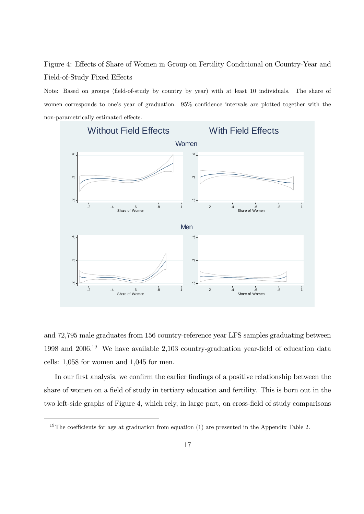Figure 4: Effects of Share of Women in Group on Fertility Conditional on Country-Year and Field-of-Study Fixed Effects

Note: Based on groups (field-of-study by country by year) with at least 10 individuals. The share of women corresponds to one's year of graduation.  $95\%$  confidence intervals are plotted together with the non-parametrically estimated effects.



and 72,795 male graduates from 156 country-reference year LFS samples graduating between 1998 and  $2006<sup>19</sup>$  We have available 2,103 country-graduation year-field of education data cells: 1,058 for women and 1,045 for men.

In our first analysis, we confirm the earlier findings of a positive relationship between the share of women on a field of study in tertiary education and fertility. This is born out in the two left-side graphs of Figure 4, which rely, in large part, on cross-field of study comparisons

<sup>&</sup>lt;sup>19</sup>The coefficients for age at graduation from equation (1) are presented in the Appendix Table 2.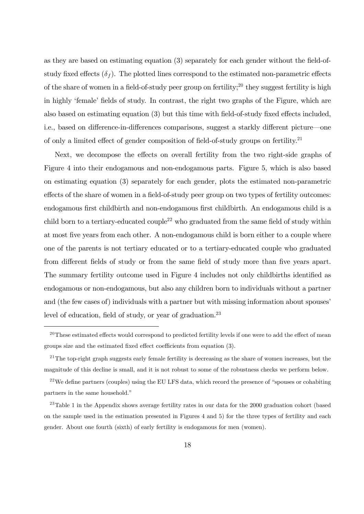as they are based on estimating equation  $(3)$  separately for each gender without the field-ofstudy fixed effects  $(\delta_f)$ . The plotted lines correspond to the estimated non-parametric effects of the share of women in a field-of-study peer group on fertility;<sup>20</sup> they suggest fertility is high in highly 'female' fields of study. In contrast, the right two graphs of the Figure, which are also based on estimating equation  $(3)$  but this time with field-of-study fixed effects included, i.e., based on difference-in-differences comparisons, suggest a starkly different picture—one of only a limited effect of gender composition of field-of-study groups on fertility.<sup>21</sup>

Next, we decompose the effects on overall fertility from the two right-side graphs of Figure 4 into their endogamous and non-endogamous parts. Figure 5, which is also based on estimating equation (3) separately for each gender, plots the estimated non-parametric effects of the share of women in a field-of-study peer group on two types of fertility outcomes: endogamous first childbirth and non-endogamous first childbirth. An endogamous child is a child born to a tertiary-educated couple<sup>22</sup> who graduated from the same field of study within at most Öve years from each other. A non-endogamous child is born either to a couple where one of the parents is not tertiary educated or to a tertiary-educated couple who graduated from different fields of study or from the same field of study more than five years apart. The summary fertility outcome used in Figure 4 includes not only childbirths identified as endogamous or non-endogamous, but also any children born to individuals without a partner and (the few cases of) individuals with a partner but with missing information about spouses level of education, field of study, or year of graduation.<sup>23</sup>

 $20$ These estimated effects would correspond to predicted fertility levels if one were to add the effect of mean groups size and the estimated fixed effect coefficients from equation  $(3)$ .

 $21$ The top-right graph suggests early female fertility is decreasing as the share of women increases, but the magnitude of this decline is small, and it is not robust to some of the robustness checks we perform below.

 $22$ We define partners (couples) using the EU LFS data, which record the presence of "spouses or cohabiting" partners in the same household."

<sup>&</sup>lt;sup>23</sup>Table 1 in the Appendix shows average fertility rates in our data for the 2000 graduation cohort (based on the sample used in the estimation presented in Figures 4 and 5) for the three types of fertility and each gender. About one fourth (sixth) of early fertility is endogamous for men (women).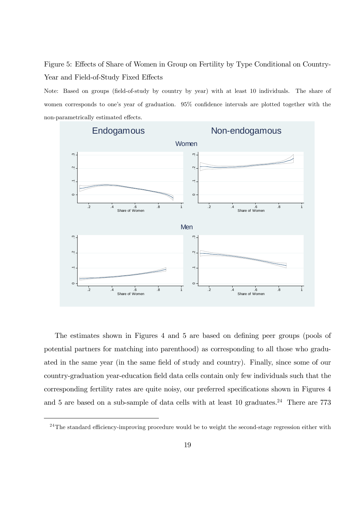Figure 5: Effects of Share of Women in Group on Fertility by Type Conditional on Country-Year and Field-of-Study Fixed Effects

Note: Based on groups (field-of-study by country by year) with at least 10 individuals. The share of women corresponds to one's year of graduation.  $95\%$  confidence intervals are plotted together with the non-parametrically estimated effects.



The estimates shown in Figures 4 and 5 are based on defining peer groups (pools of potential partners for matching into parenthood) as corresponding to all those who graduated in the same year (in the same field of study and country). Finally, since some of our country-graduation year-education field data cells contain only few individuals such that the corresponding fertility rates are quite noisy, our preferred specifications shown in Figures 4 and 5 are based on a sub-sample of data cells with at least  $10$  graduates.<sup>24</sup> There are 773

 $^{24}$ The standard efficiency-improving procedure would be to weight the second-stage regression either with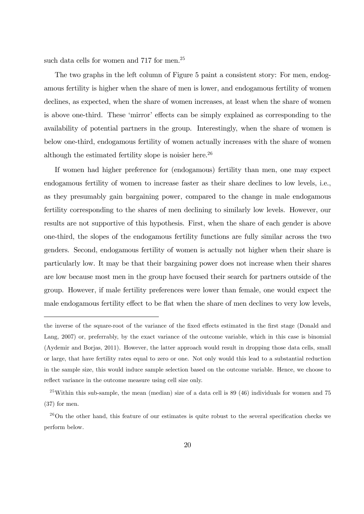such data cells for women and 717 for men.<sup>25</sup>

The two graphs in the left column of Figure 5 paint a consistent story: For men, endogamous fertility is higher when the share of men is lower, and endogamous fertility of women declines, as expected, when the share of women increases, at least when the share of women is above one-third. These 'mirror' effects can be simply explained as corresponding to the availability of potential partners in the group. Interestingly, when the share of women is below one-third, endogamous fertility of women actually increases with the share of women although the estimated fertility slope is noisier here.<sup>26</sup>

If women had higher preference for (endogamous) fertility than men, one may expect endogamous fertility of women to increase faster as their share declines to low levels, i.e., as they presumably gain bargaining power, compared to the change in male endogamous fertility corresponding to the shares of men declining to similarly low levels. However, our results are not supportive of this hypothesis. First, when the share of each gender is above one-third, the slopes of the endogamous fertility functions are fully similar across the two genders. Second, endogamous fertility of women is actually not higher when their share is particularly low. It may be that their bargaining power does not increase when their shares are low because most men in the group have focused their search for partners outside of the group. However, if male fertility preferences were lower than female, one would expect the male endogamous fertility effect to be flat when the share of men declines to very low levels,

the inverse of the square-root of the variance of the fixed effects estimated in the first stage (Donald and Lang, 2007) or, preferrably, by the exact variance of the outcome variable, which in this case is binomial (Aydemir and Borjas, 2011). However, the latter approach would result in dropping those data cells, small or large, that have fertility rates equal to zero or one. Not only would this lead to a substantial reduction in the sample size, this would induce sample selection based on the outcome variable. Hence, we choose to reflect variance in the outcome measure using cell size only.

 $25$ Within this sub-sample, the mean (median) size of a data cell is 89 (46) individuals for women and 75 (37) for men.

 $26$ On the other hand, this feature of our estimates is quite robust to the several specification checks we perform below.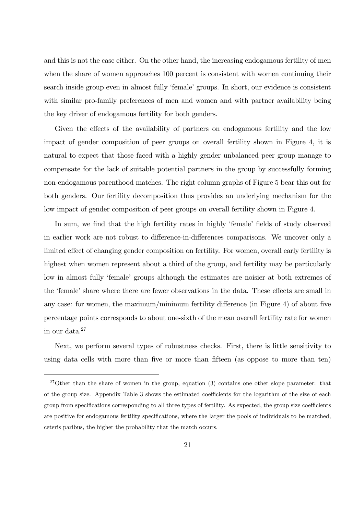and this is not the case either. On the other hand, the increasing endogamous fertility of men when the share of women approaches 100 percent is consistent with women continuing their search inside group even in almost fully 'female' groups. In short, our evidence is consistent with similar pro-family preferences of men and women and with partner availability being the key driver of endogamous fertility for both genders.

Given the effects of the availability of partners on endogamous fertility and the low impact of gender composition of peer groups on overall fertility shown in Figure 4, it is natural to expect that those faced with a highly gender unbalanced peer group manage to compensate for the lack of suitable potential partners in the group by successfully forming non-endogamous parenthood matches. The right column graphs of Figure 5 bear this out for both genders. Our fertility decomposition thus provides an underlying mechanism for the low impact of gender composition of peer groups on overall fertility shown in Figure 4.

In sum, we find that the high fertility rates in highly 'female' fields of study observed in earlier work are not robust to difference-in-differences comparisons. We uncover only a limited effect of changing gender composition on fertility. For women, overall early fertility is highest when women represent about a third of the group, and fertility may be particularly low in almost fully 'female' groups although the estimates are noisier at both extremes of the 'female' share where there are fewer observations in the data. These effects are small in any case: for women, the maximum/minimum fertility difference (in Figure 4) of about five percentage points corresponds to about one-sixth of the mean overall fertility rate for women in our data. $27$ 

Next, we perform several types of robustness checks. First, there is little sensitivity to using data cells with more than five or more than fifteen (as oppose to more than ten)

<sup>&</sup>lt;sup>27</sup>Other than the share of women in the group, equation (3) contains one other slope parameter: that of the group size. Appendix Table 3 shows the estimated coefficients for the logarithm of the size of each group from specifications corresponding to all three types of fertility. As expected, the group size coefficients are positive for endogamous fertility specifications, where the larger the pools of individuals to be matched, ceteris paribus, the higher the probability that the match occurs.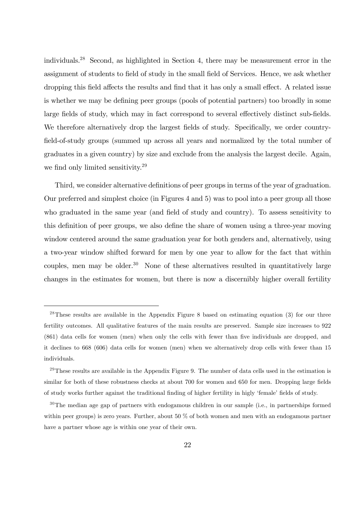individuals.<sup>28</sup> Second, as highlighted in Section 4, there may be measurement error in the assignment of students to field of study in the small field of Services. Hence, we ask whether dropping this field affects the results and find that it has only a small effect. A related issue is whether we may be defining peer groups (pools of potential partners) too broadly in some large fields of study, which may in fact correspond to several effectively distinct sub-fields. We therefore alternatively drop the largest fields of study. Specifically, we order countryfield-of-study groups (summed up across all years and normalized by the total number of graduates in a given country) by size and exclude from the analysis the largest decile. Again, we find only limited sensitivity.<sup>29</sup>

Third, we consider alternative definitions of peer groups in terms of the year of graduation. Our preferred and simplest choice (in Figures 4 and 5) was to pool into a peer group all those who graduated in the same year (and field of study and country). To assess sensitivity to this definition of peer groups, we also define the share of women using a three-year moving window centered around the same graduation year for both genders and, alternatively, using a two-year window shifted forward for men by one year to allow for the fact that within couples, men may be older. $30$  None of these alternatives resulted in quantitatively large changes in the estimates for women, but there is now a discernibly higher overall fertility

 $28$ These results are available in the Appendix Figure 8 based on estimating equation (3) for our three fertility outcomes. All qualitative features of the main results are preserved. Sample size increases to 922 (861) data cells for women (men) when only the cells with fewer than Öve individuals are dropped, and it declines to 668 (606) data cells for women (men) when we alternatively drop cells with fewer than 15 individuals.

 $^{29}$ These results are available in the Appendix Figure 9. The number of data cells used in the estimation is similar for both of these robustness checks at about 700 for women and 650 for men. Dropping large fields of study works further against the traditional finding of higher fertility in higly 'female' fields of study.

<sup>30</sup>The median age gap of partners with endogamous children in our sample (i.e., in partnerships formed within peer groups) is zero years. Further, about 50 % of both women and men with an endogamous partner have a partner whose age is within one year of their own.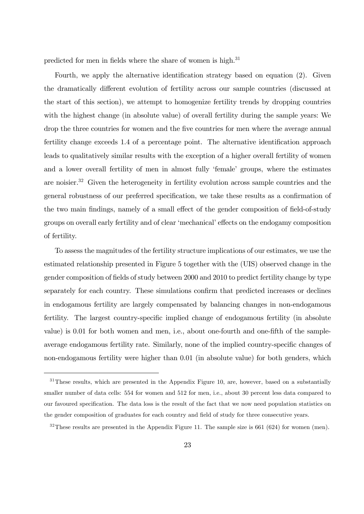predicted for men in fields where the share of women is high.<sup>31</sup>

Fourth, we apply the alternative identification strategy based on equation  $(2)$ . Given the dramatically different evolution of fertility across our sample countries (discussed at the start of this section), we attempt to homogenize fertility trends by dropping countries with the highest change (in absolute value) of overall fertility during the sample years: We drop the three countries for women and the five countries for men where the average annual fertility change exceeds 1.4 of a percentage point. The alternative identification approach leads to qualitatively similar results with the exception of a higher overall fertility of women and a lower overall fertility of men in almost fully 'female' groups, where the estimates are noisier.<sup>32</sup> Given the heterogeneity in fertility evolution across sample countries and the general robustness of our preferred specification, we take these results as a confirmation of the two main findings, namely of a small effect of the gender composition of field-of-study groups on overall early fertility and of clear 'mechanical' effects on the endogamy composition of fertility.

To assess the magnitudes of the fertility structure implications of our estimates, we use the estimated relationship presented in Figure 5 together with the (UIS) observed change in the gender composition of fields of study between 2000 and 2010 to predict fertility change by type separately for each country. These simulations confirm that predicted increases or declines in endogamous fertility are largely compensated by balancing changes in non-endogamous fertility. The largest country-specific implied change of endogamous fertility (in absolute value) is 0.01 for both women and men, i.e., about one-fourth and one-fifth of the sampleaverage endogamous fertility rate. Similarly, none of the implied country-specific changes of non-endogamous fertility were higher than 0.01 (in absolute value) for both genders, which

 $31$ These results, which are presented in the Appendix Figure 10, are, however, based on a substantially smaller number of data cells: 554 for women and 512 for men, i.e., about 30 percent less data compared to our favoured speciÖcation. The data loss is the result of the fact that we now need population statistics on the gender composition of graduates for each country and field of study for three consecutive years.

 $32$ These results are presented in the Appendix Figure 11. The sample size is 661 (624) for women (men).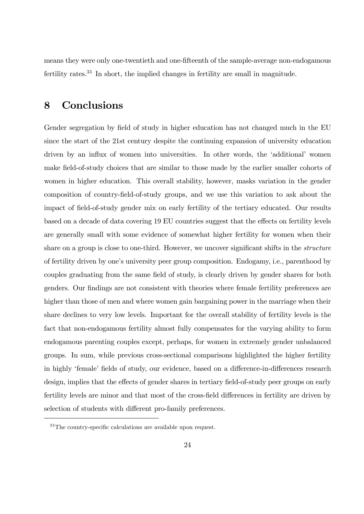means they were only one-twentieth and one-Öfteenth of the sample-average non-endogamous fertility rates.<sup>33</sup> In short, the implied changes in fertility are small in magnitude.

### 8 Conclusions

Gender segregation by field of study in higher education has not changed much in the EU since the start of the 21st century despite the continuing expansion of university education driven by an influx of women into universities. In other words, the 'additional' women make field-of-study choices that are similar to those made by the earlier smaller cohorts of women in higher education. This overall stability, however, masks variation in the gender composition of country-Öeld-of-study groups, and we use this variation to ask about the impact of field-of-study gender mix on early fertility of the tertiary educated. Our results based on a decade of data covering 19 EU countries suggest that the effects on fertility levels are generally small with some evidence of somewhat higher fertility for women when their share on a group is close to one-third. However, we uncover significant shifts in the *structure* of fertility driven by one's university peer group composition. Endogamy, i.e., parenthood by couples graduating from the same field of study, is clearly driven by gender shares for both genders. Our findings are not consistent with theories where female fertility preferences are higher than those of men and where women gain bargaining power in the marriage when their share declines to very low levels. Important for the overall stability of fertility levels is the fact that non-endogamous fertility almost fully compensates for the varying ability to form endogamous parenting couples except, perhaps, for women in extremely gender unbalanced groups. In sum, while previous cross-sectional comparisons highlighted the higher fertility in highly 'female' fields of study, our evidence, based on a difference-in-differences research design, implies that the effects of gender shares in tertiary field-of-study peer groups on early fertility levels are minor and that most of the cross-field differences in fertility are driven by selection of students with different pro-family preferences.

 $33$ The country-specific calculations are available upon request.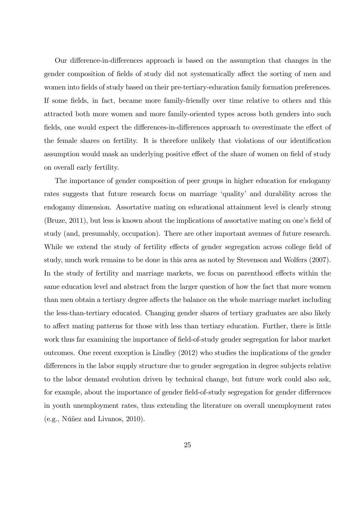Our difference-in-differences approach is based on the assumption that changes in the gender composition of fields of study did not systematically affect the sorting of men and women into fields of study based on their pre-tertiary-education family formation preferences. If some fields, in fact, became more family-friendly over time relative to others and this attracted both more women and more family-oriented types across both genders into such fields, one would expect the differences-in-differences approach to overestimate the effect of the female shares on fertility. It is therefore unlikely that violations of our identification assumption would mask an underlying positive effect of the share of women on field of study on overall early fertility.

The importance of gender composition of peer groups in higher education for endogamy rates suggests that future research focus on marriage 'quality' and durability across the endogamy dimension. Assortative mating on educational attainment level is clearly strong  $(Bruze, 2011)$ , but less is known about the implications of assortative mating on one's field of study (and, presumably, occupation). There are other important avenues of future research. While we extend the study of fertility effects of gender segregation across college field of study, much work remains to be done in this area as noted by Stevenson and Wolfers (2007). In the study of fertility and marriage markets, we focus on parenthood effects within the same education level and abstract from the larger question of how the fact that more women than men obtain a tertiary degree affects the balance on the whole marriage market including the less-than-tertiary educated. Changing gender shares of tertiary graduates are also likely to affect mating patterns for those with less than tertiary education. Further, there is little work thus far examining the importance of field-of-study gender segregation for labor market outcomes. One recent exception is Lindley (2012) who studies the implications of the gender differences in the labor supply structure due to gender segregation in degree subjects relative to the labor demand evolution driven by technical change, but future work could also ask, for example, about the importance of gender field-of-study segregation for gender differences in youth unemployment rates, thus extending the literature on overall unemployment rates  $(e.g., Núñez and Livanos, 2010).$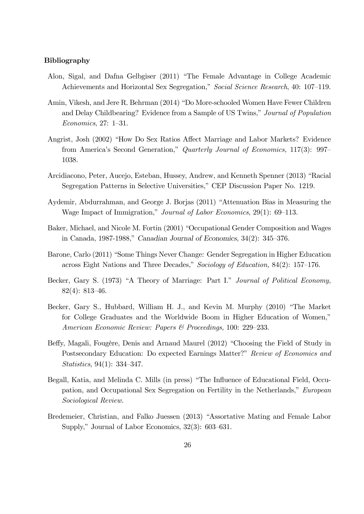#### Bibliography

- Alon, Sigal, and Dafna Gelbgiser (2011) "The Female Advantage in College Academic Achievements and Horizontal Sex Segregation," Social Science Research, 40: 107–119.
- Amin, Vikesh, and Jere R. Behrman (2014) "Do More-schooled Women Have Fewer Children and Delay Childbearing? Evidence from a Sample of US Twins," Journal of Population  $Economics, 27: 1–31.$
- Angrist, Josh (2002) "How Do Sex Ratios Affect Marriage and Labor Markets? Evidence from America's Second Generation," Quarterly Journal of Economics, 117(3): 997– 1038.
- Arcidiacono, Peter, Aucejo, Esteban, Hussey, Andrew, and Kenneth Spenner (2013) "Racial Segregation Patterns in Selective Universities," CEP Discussion Paper No. 1219.
- Aydemir, Abdurrahman, and George J. Borjas (2011) "Attenuation Bias in Measuring the Wage Impact of Immigration," Journal of Labor Economics, 29(1): 69–113.
- Baker, Michael, and Nicole M. Fortin (2001) "Occupational Gender Composition and Wages in Canada, 1987-1988," Canadian Journal of Economics,  $34(2)$ :  $345-376$ .
- Barone, Carlo (2011) "Some Things Never Change: Gender Segregation in Higher Education across Eight Nations and Three Decades," Sociology of Education, 84(2): 157–176.
- Becker, Gary S. (1973) "A Theory of Marriage: Part I." Journal of Political Economy,  $82(4): 813-46.$
- Becker, Gary S., Hubbard, William H. J., and Kevin M. Murphy (2010) "The Market for College Graduates and the Worldwide Boom in Higher Education of Women," American Economic Review: Papers  $\mathcal B$  Proceedings, 100: 229–233.
- Beffy, Magali, Fougère, Denis and Arnaud Maurel (2012) "Choosing the Field of Study in Postsecondary Education: Do expected Earnings Matter?" Review of Economics and Statistics, 94(1):  $334-347$ .
- Begall, Katia, and Melinda C. Mills (in press) "The Influence of Educational Field, Occupation, and Occupational Sex Segregation on Fertility in the Netherlands," European Sociological Review.
- Bredemeier, Christian, and Falko Juessen (2013) "Assortative Mating and Female Labor Supply," Journal of Labor Economics,  $32(3)$ :  $603-631$ .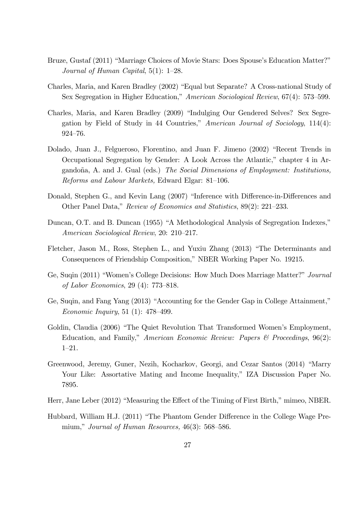- Bruze, Gustaf (2011) "Marriage Choices of Movie Stars: Does Spouse's Education Matter?" Journal of Human Capital,  $5(1)$ : 1–28.
- Charles, Maria, and Karen Bradley (2002) "Equal but Separate? A Cross-national Study of Sex Segregation in Higher Education," American Sociological Review, 67(4): 573-599.
- Charles, Maria, and Karen Bradley (2009) "Indulging Our Gendered Selves? Sex Segregation by Field of Study in 44 Countries," American Journal of Sociology,  $114(4)$ :  $924 - 76.$
- Dolado, Juan J., Felgueroso, Florentino, and Juan F. Jimeno (2002) "Recent Trends in Occupational Segregation by Gender: A Look Across the Atlantic,î chapter 4 in Argandoña, A. and J. Gual (eds.) The Social Dimensions of Employment: Institutions,  $Reforms$  and Labour Markets, Edward Elgar: 81–106.
- Donald, Stephen G., and Kevin Lang (2007) "Inference with Difference-in-Differences and Other Panel Data," Review of Economics and Statistics, 89(2): 221-233.
- Duncan, O.T. and B. Duncan (1955) "A Methodological Analysis of Segregation Indexes," American Sociological Review, 20: 210–217.
- Fletcher, Jason M., Ross, Stephen L., and Yuxiu Zhang (2013) "The Determinants and Consequences of Friendship Composition," NBER Working Paper No. 19215.
- Ge, Suqin (2011) "Women's College Decisions: How Much Does Marriage Matter?" Journal of Labor Economics, 29 (4):  $773-818$ .
- Ge, Suqin, and Fang Yang  $(2013)$  "Accounting for the Gender Gap in College Attainment," *Economic Inquiry*, 51 (1): 478–499.
- Goldin, Claudia (2006) "The Quiet Revolution That Transformed Women's Employment, Education, and Family," American Economic Review: Papers  $\mathcal{B}$  Proceedings, 96(2):  $1 - 21.$
- Greenwood, Jeremy, Guner, Nezih, Kocharkov, Georgi, and Cezar Santos (2014) "Marry Your Like: Assortative Mating and Income Inequality," IZA Discussion Paper No. 7895.
- Herr, Jane Leber (2012) "Measuring the Effect of the Timing of First Birth," mimeo, NBER.
- Hubbard, William H.J. (2011) "The Phantom Gender Difference in the College Wage Premium," Journal of Human Resources,  $46(3)$ : 568–586.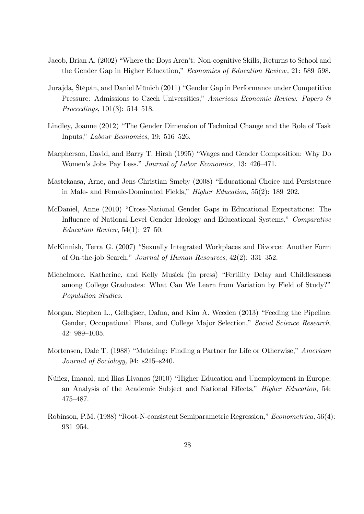- Jacob, Brian A. (2002) "Where the Boys Aren't: Non-cognitive Skills, Returns to School and the Gender Gap in Higher Education," Economics of Education Review, 21: 589–598.
- Jurajda, Štěpán, and Daniel Münich (2011) "Gender Gap in Performance under Competitive Pressure: Admissions to Czech Universities," American Economic Review: Papers  $\mathcal B$ *Proceedings*,  $101(3)$ :  $514–518$ .
- Lindley, Joanne (2012) "The Gender Dimension of Technical Change and the Role of Task Inputs," Labour Economics, 19: 516–526.
- Macpherson, David, and Barry T. Hirsh (1995) "Wages and Gender Composition: Why Do Women's Jobs Pay Less." Journal of Labor Economics, 13: 426-471.
- Mastekaasa, Arne, and Jens-Christian Smeby (2008) "Educational Choice and Persistence in Male- and Female-Dominated Fields," *Higher Education*,  $55(2)$ : 189–202.
- McDaniel, Anne (2010) "Cross-National Gender Gaps in Educational Expectations: The Influence of National-Level Gender Ideology and Educational Systems," Comparative Education Review,  $54(1)$ : 27-50.
- McKinnish, Terra G. (2007) "Sexually Integrated Workplaces and Divorce: Another Form of On-the-job Search," Journal of Human Resources,  $42(2): 331-352$ .
- Michelmore, Katherine, and Kelly Musick (in press) "Fertility Delay and Childlessness among College Graduates: What Can We Learn from Variation by Field of Study?" Population Studies.
- Morgan, Stephen L., Gelbgiser, Dafna, and Kim A. Weeden (2013) "Feeding the Pipeline: Gender, Occupational Plans, and College Major Selection," Social Science Research, 42: 989-1005.
- Mortensen, Dale T. (1988) "Matching: Finding a Partner for Life or Otherwise," American Journal of Sociology, 94:  $s215-s240$ .
- Núñez, Imanol, and Ilias Livanos (2010) "Higher Education and Unemployment in Europe: an Analysis of the Academic Subject and National Effects," *Higher Education*, 54: 475-487.
- Robinson, P.M. (1988) "Root-N-consistent Semiparametric Regression," Econometrica, 56(4): 931-954.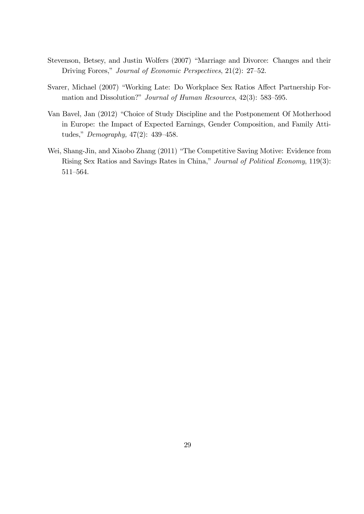- Stevenson, Betsey, and Justin Wolfers (2007) "Marriage and Divorce: Changes and their Driving Forces," Journal of Economic Perspectives, 21(2): 27–52.
- Svarer, Michael (2007) "Working Late: Do Workplace Sex Ratios Affect Partnership Formation and Dissolution?" Journal of Human Resources,  $42(3)$ : 583-595.
- Van Bavel, Jan (2012) "Choice of Study Discipline and the Postponement Of Motherhood in Europe: the Impact of Expected Earnings, Gender Composition, and Family Attitudes,"  $Demography$ , 47(2): 439-458.
- Wei, Shang-Jin, and Xiaobo Zhang (2011) "The Competitive Saving Motive: Evidence from Rising Sex Ratios and Savings Rates in China," Journal of Political Economy, 119(3): 511-564.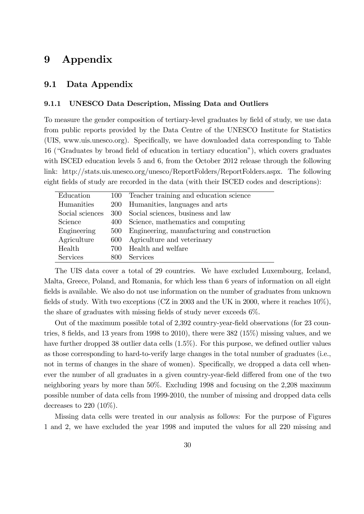### 9 Appendix

#### 9.1 Data Appendix

#### 9.1.1 UNESCO Data Description, Missing Data and Outliers

To measure the gender composition of tertiary-level graduates by Öeld of study, we use data from public reports provided by the Data Centre of the UNESCO Institute for Statistics (UIS, www.uis.unesco.org). Specifically, we have downloaded data corresponding to Table 16 ("Graduates by broad field of education in tertiary education"), which covers graduates with ISCED education levels 5 and 6, from the October 2012 release through the following link: http://stats.uis.unesco.org/unesco/ReportFolders/ReportFolders.aspx. The following eight fields of study are recorded in the data (with their ISCED codes and descriptions):

| Education       |      | 100 Teacher training and education science  |
|-----------------|------|---------------------------------------------|
| Humanities      |      | 200 Humanities, languages and arts          |
| Social sciences | 300  | Social sciences, business and law           |
| Science         | 400  | Science, mathematics and computing          |
| Engineering     | 500  | Engineering, manufacturing and construction |
| Agriculture     | 600  | Agriculture and veterinary                  |
| Health          | 700. | Health and welfare                          |
| Services        | 800  | Services                                    |

The UIS data cover a total of 29 countries. We have excluded Luxembourg, Iceland, Malta, Greece, Poland, and Romania, for which less than 6 years of information on all eight fields is available. We also do not use information on the number of graduates from unknown fields of study. With two exceptions (CZ in 2003 and the UK in 2000, where it reaches  $10\%$ ), the share of graduates with missing fields of study never exceeds  $6\%$ .

Out of the maximum possible total of  $2,392$  country-year-field observations (for  $23$  countries, 8 fields, and 13 years from 1998 to 2010), there were  $382$  (15%) missing values, and we have further dropped 38 outlier data cells  $(1.5\%)$ . For this purpose, we defined outlier values as those corresponding to hard-to-verify large changes in the total number of graduates (i.e., not in terms of changes in the share of women). Specifically, we dropped a data cell whenever the number of all graduates in a given country-year-field differed from one of the two neighboring years by more than 50%. Excluding 1998 and focusing on the 2,208 maximum possible number of data cells from 1999-2010, the number of missing and dropped data cells decreases to  $220$   $(10\%)$ .

Missing data cells were treated in our analysis as follows: For the purpose of Figures 1 and 2, we have excluded the year 1998 and imputed the values for all 220 missing and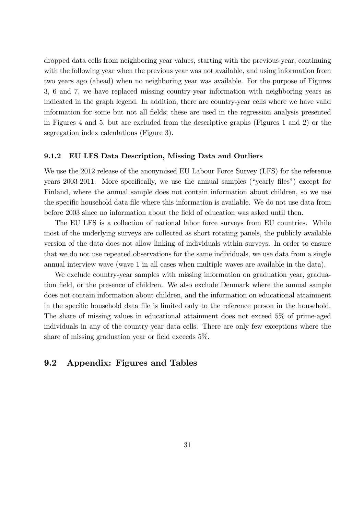dropped data cells from neighboring year values, starting with the previous year, continuing with the following year when the previous year was not available, and using information from two years ago (ahead) when no neighboring year was available. For the purpose of Figures 3, 6 and 7, we have replaced missing country-year information with neighboring years as indicated in the graph legend. In addition, there are country-year cells where we have valid information for some but not all Öelds; these are used in the regression analysis presented in Figures 4 and 5, but are excluded from the descriptive graphs (Figures 1 and 2) or the segregation index calculations (Figure 3).

#### 9.1.2 EU LFS Data Description, Missing Data and Outliers

We use the 2012 release of the anonymised EU Labour Force Survey (LFS) for the reference years  $2003-2011$ . More specifically, we use the annual samples ("yearly files") except for Finland, where the annual sample does not contain information about children, so we use the specific household data file where this information is available. We do not use data from before 2003 since no information about the field of education was asked until then.

The EU LFS is a collection of national labor force surveys from EU countries. While most of the underlying surveys are collected as short rotating panels, the publicly available version of the data does not allow linking of individuals within surveys. In order to ensure that we do not use repeated observations for the same individuals, we use data from a single annual interview wave (wave 1 in all cases when multiple waves are available in the data).

We exclude country-year samples with missing information on graduation year, graduation field, or the presence of children. We also exclude Denmark where the annual sample does not contain information about children, and the information on educational attainment in the specific household data file is limited only to the reference person in the household. The share of missing values in educational attainment does not exceed 5% of prime-aged individuals in any of the country-year data cells. There are only few exceptions where the share of missing graduation year or field exceeds  $5\%$ .

#### 9.2 Appendix: Figures and Tables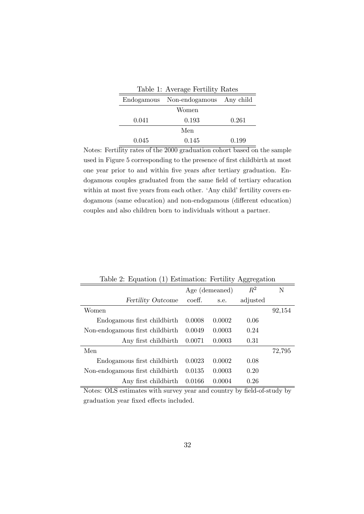| Table 1: Average Fertility Rates |                                     |       |  |  |  |
|----------------------------------|-------------------------------------|-------|--|--|--|
|                                  | Endogamous Non-endogamous Any child |       |  |  |  |
|                                  | Women                               |       |  |  |  |
| 0.041                            | 0.193                               | 0.261 |  |  |  |
| Men                              |                                     |       |  |  |  |
| 0.045                            | 0.145                               | 0.199 |  |  |  |

Notes: Fertility rates of the 2000 graduation cohort based on the sample used in Figure 5 corresponding to the presence of first childbirth at most one year prior to and within Öve years after tertiary graduation. Endogamous couples graduated from the same field of tertiary education within at most five years from each other. 'Any child' fertility covers endogamous (same education) and non-endogamous (different education) couples and also children born to individuals without a partner.

|                                 | Age (demeaned) |        | $R^2$    | N      |
|---------------------------------|----------------|--------|----------|--------|
| <b>Fertility Outcome</b>        | coeff.         | s.e.   | adjusted |        |
| Women                           |                |        |          | 92,154 |
| Endogamous first childbirth     | 0.0008         | 0.0002 | 0.06     |        |
| Non-endogamous first childbirth | 0.0049         | 0.0003 | 0.24     |        |
| Any first childbirth            | 0.0071         | 0.0003 | 0.31     |        |
| Men                             |                |        |          | 72,795 |
| Endogamous first childbirth     | 0.0023         | 0.0002 | 0.08     |        |
| Non-endogamous first childbirth | 0.0135         | 0.0003 | 0.20     |        |
| Any first childbirth            | 0.0166         | 0.0004 | 0.26     |        |

Table 2: Equation (1) Estimation: Fertility Aggregation

Notes: OLS estimates with survey year and country by field-of-study by graduation year fixed effects included.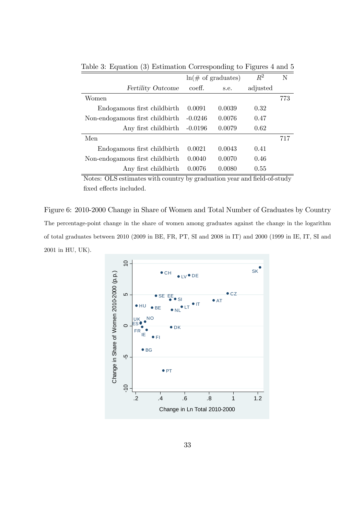|                                 | $ln(\text{\# of } \text{graduates})$ |        | $R^2$    | N   |
|---------------------------------|--------------------------------------|--------|----------|-----|
| <b>Fertility Outcome</b>        | coeff.                               | s.e.   | adjusted |     |
| Women                           |                                      |        |          | 773 |
| Endogamous first childbirth     | 0.0091                               | 0.0039 | 0.32     |     |
| Non-endogamous first childbirth | $-0.0246$                            | 0.0076 | 0.47     |     |
| Any first childbirth            | $-0.0196$                            | 0.0079 | 0.62     |     |
| Men                             |                                      |        |          | 717 |
| Endogamous first childbirth     | 0.0021                               | 0.0043 | 0.41     |     |
| Non-endogamous first childbirth | 0.0040                               | 0.0070 | 0.46     |     |
| Any first childbirth            | 0.0076                               | 0.0080 | 0.55     |     |

Table 3: Equation (3) Estimation Corresponding to Figures 4 and 5

Notes: OLS estimates with country by graduation year and field-of-study fixed effects included.

Figure 6: 2010-2000 Change in Share of Women and Total Number of Graduates by Country The percentage-point change in the share of women among graduates against the change in the logarithm of total graduates between 2010 (2009 in BE, FR, PT, SI and 2008 in IT) and 2000 (1999 in IE, IT, SI and 2001 in HU, UK).

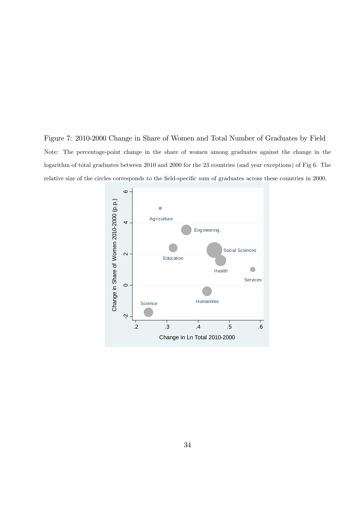Figure 7: 2010-2000 Change in Share of Women and Total Number of Graduates by Field Note: The percentage-point change in the share of women among graduates against the change in the logarithm of total graduates between 2010 and 2000 for the 23 countries (and year exceptions) of Fig 6. The relative size of the circles corresponds to the field-specific sum of graduates across these countries in 2000.

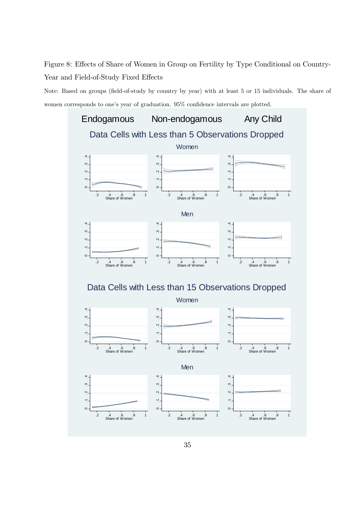Figure 8: Effects of Share of Women in Group on Fertility by Type Conditional on Country-Year and Field-of-Study Fixed Effects

Note: Based on groups (field-of-study by country by year) with at least 5 or 15 individuals. The share of women corresponds to one's year of graduation. 95% confidence intervals are plotted.

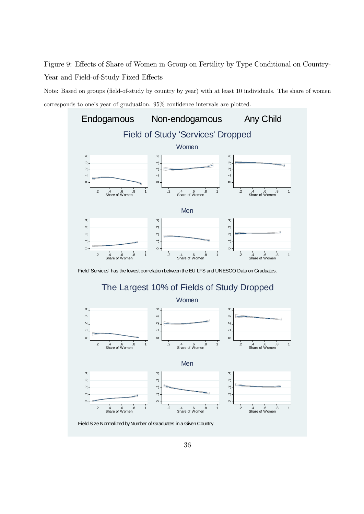Figure 9: Effects of Share of Women in Group on Fertility by Type Conditional on Country-Year and Field-of-Study Fixed Effects

Note: Based on groups (field-of-study by country by year) with at least 10 individuals. The share of women corresponds to one's year of graduation.  $95\%$  confidence intervals are plotted.



Field 'Services' has the lowest correlation between the EU LFS and UNESCO Data on Graduates.





Field Size Normalized by Number of Graduates in a Given Country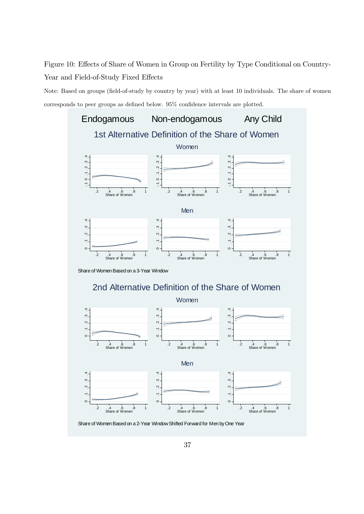Figure 10: Effects of Share of Women in Group on Fertility by Type Conditional on Country-Year and Field-of-Study Fixed Effects

Note: Based on groups (field-of-study by country by year) with at least 10 individuals. The share of women corresponds to peer groups as defined below.  $95\%$  confidence intervals are plotted.



Share of Women Based on a 3-Year Window

### 2nd Alternative Definition of the Share of Women



Share of Women Based on a 2-Year Window Shifted Forward for Men by One Year